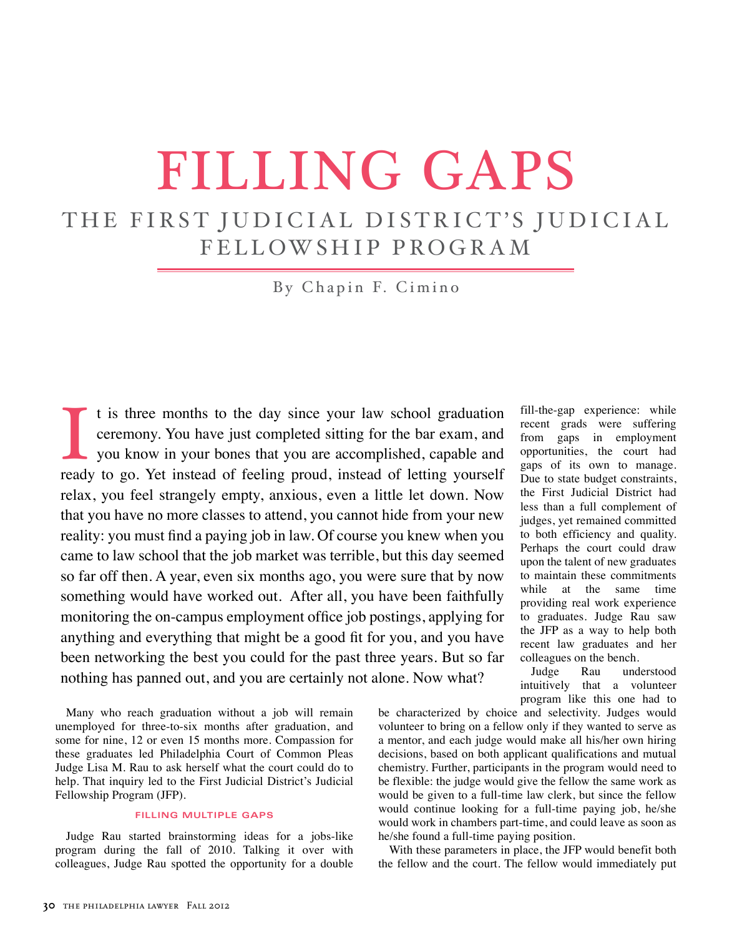# THE FIRST JUDICIAL DISTRICT'S JUDICIAL FELLOWSHIP PROGRAM FILLING GAPS

By Chapin F. Cimino

It is three months to the day since your law school graduation ceremony. You have just completed sitting for the bar exam, and you know in your bones that you are accomplished, capable and ready to go. Yet instead of feeli t is three months to the day since your law school graduation ceremony. You have just completed sitting for the bar exam, and you know in your bones that you are accomplished, capable and relax, you feel strangely empty, anxious, even a little let down. Now that you have no more classes to attend, you cannot hide from your new reality: you must find a paying job in law. Of course you knew when you came to law school that the job market was terrible, but this day seemed so far off then. A year, even six months ago, you were sure that by now something would have worked out. After all, you have been faithfully monitoring the on-campus employment office job postings, applying for anything and everything that might be a good fit for you, and you have been networking the best you could for the past three years. But so far nothing has panned out, and you are certainly not alone. Now what?

Many who reach graduation without a job will remain unemployed for three-to-six months after graduation, and some for nine, 12 or even 15 months more. Compassion for these graduates led Philadelphia Court of Common Pleas Judge Lisa M. Rau to ask herself what the court could do to help. That inquiry led to the First Judicial District's Judicial Fellowship Program (JFP).

### **FILLING MULTIPLE GAPS**

Judge Rau started brainstorming ideas for a jobs-like program during the fall of 2010. Talking it over with colleagues, Judge Rau spotted the opportunity for a double

fill-the-gap experience: while recent grads were suffering from gaps in employment opportunities, the court had gaps of its own to manage. Due to state budget constraints, the First Judicial District had less than a full complement of judges, yet remained committed to both efficiency and quality. Perhaps the court could draw upon the talent of new graduates to maintain these commitments while at the same time providing real work experience to graduates. Judge Rau saw the JFP as a way to help both recent law graduates and her colleagues on the bench.<br>Judge Rau under

understood intuitively that a volunteer program like this one had to

be characterized by choice and selectivity. Judges would volunteer to bring on a fellow only if they wanted to serve as a mentor, and each judge would make all his/her own hiring decisions, based on both applicant qualifications and mutual chemistry. Further, participants in the program would need to be flexible: the judge would give the fellow the same work as would be given to a full-time law clerk, but since the fellow would continue looking for a full-time paying job, he/she would work in chambers part-time, and could leave as soon as he/she found a full-time paying position.

With these parameters in place, the JFP would benefit both the fellow and the court. The fellow would immediately put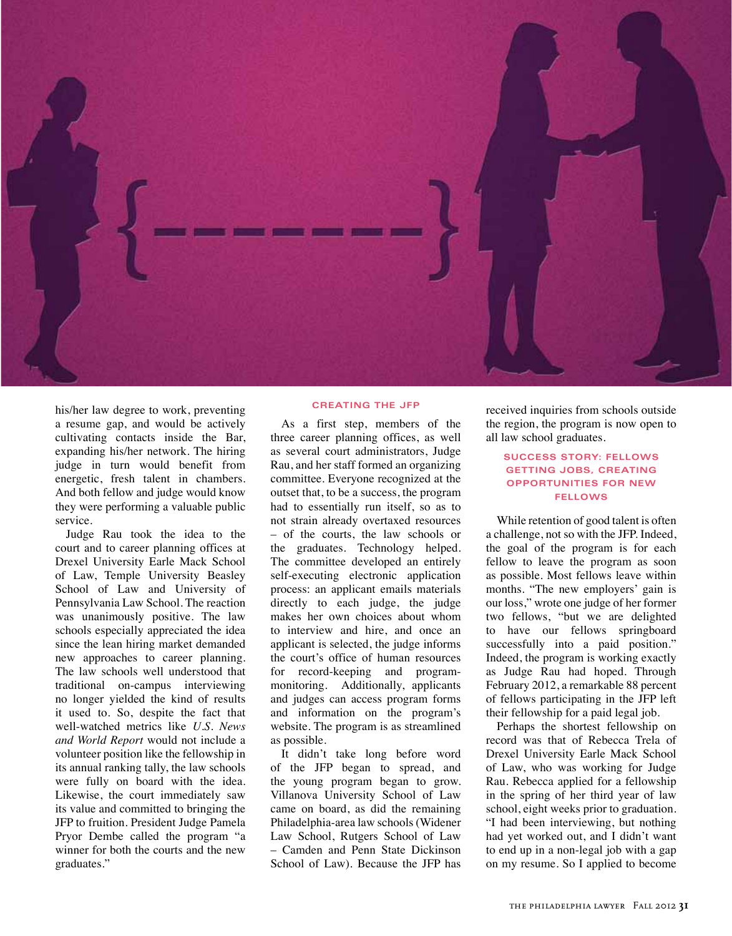

his/her law degree to work, preventing a resume gap, and would be actively cultivating contacts inside the Bar, expanding his/her network. The hiring judge in turn would benefit from energetic, fresh talent in chambers. And both fellow and judge would know they were performing a valuable public service.

Judge Rau took the idea to the court and to career planning offices at Drexel University Earle Mack School of Law, Temple University Beasley School of Law and University of Pennsylvania Law School. The reaction was unanimously positive. The law schools especially appreciated the idea since the lean hiring market demanded new approaches to career planning. The law schools well understood that traditional on-campus interviewing no longer yielded the kind of results it used to. So, despite the fact that well-watched metrics like *U.S. News and World Report* would not include a volunteer position like the fellowship in its annual ranking tally, the law schools were fully on board with the idea. Likewise, the court immediately saw its value and committed to bringing the JFP to fruition. President Judge Pamela Pryor Dembe called the program "a winner for both the courts and the new graduates."

#### **CREATING THE JFP**

As a first step, members of the three career planning offices, as well as several court administrators, Judge Rau, and her staff formed an organizing committee. Everyone recognized at the outset that, to be a success, the program had to essentially run itself, so as to not strain already overtaxed resources – of the courts, the law schools or the graduates. Technology helped. The committee developed an entirely self-executing electronic application process: an applicant emails materials directly to each judge, the judge makes her own choices about whom to interview and hire, and once an applicant is selected, the judge informs the court's office of human resources for record-keeping and programmonitoring. Additionally, applicants and judges can access program forms and information on the program's website. The program is as streamlined as possible.

It didn't take long before word of the JFP began to spread, and the young program began to grow. Villanova University School of Law came on board, as did the remaining Philadelphia-area law schools (Widener Law School, Rutgers School of Law – Camden and Penn State Dickinson School of Law). Because the JFP has

received inquiries from schools outside the region, the program is now open to all law school graduates.

### **SUCCESS STORY: FELLOWS GETTING JOBS, CREATING OPPORTUNITIES FOR NEW FELLOWS**

While retention of good talent is often a challenge, not so with the JFP. Indeed, the goal of the program is for each fellow to leave the program as soon as possible. Most fellows leave within months. "The new employers' gain is our loss," wrote one judge of her former two fellows, "but we are delighted to have our fellows springboard successfully into a paid position." Indeed, the program is working exactly as Judge Rau had hoped. Through February 2012, a remarkable 88 percent of fellows participating in the JFP left their fellowship for a paid legal job.

Perhaps the shortest fellowship on record was that of Rebecca Trela of Drexel University Earle Mack School of Law, who was working for Judge Rau. Rebecca applied for a fellowship in the spring of her third year of law school, eight weeks prior to graduation. "I had been interviewing, but nothing had yet worked out, and I didn't want to end up in a non-legal job with a gap on my resume. So I applied to become